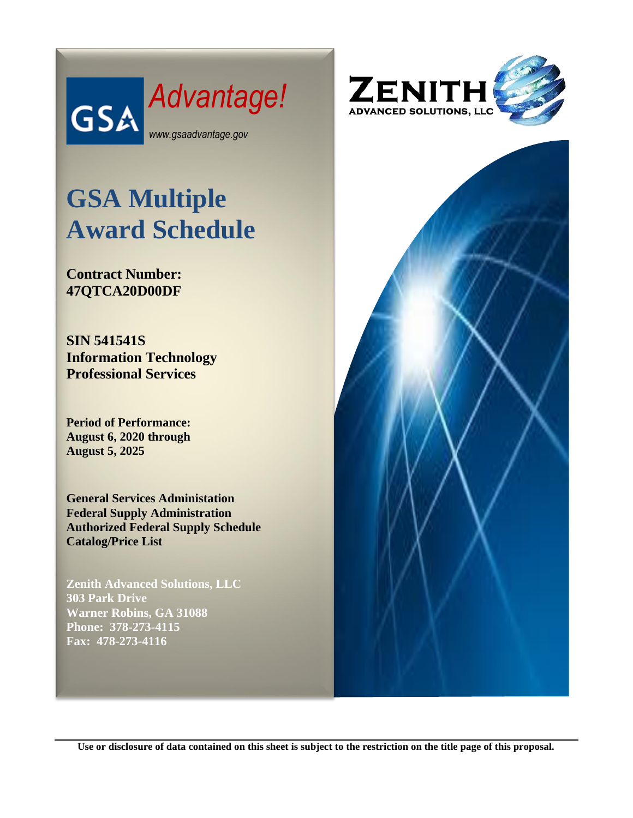

# **GSA Multiple Award Schedule**

**Contract Number: 47QTCA20D00DF**

**SIN 541541S Information Technology Professional Services**

**Period of Performance: August 6, 2020 through August 5, 2025**

**General Services Administation Federal Supply Administration Authorized Federal Supply Schedule Catalog/Price List**

**Zenith Advanced Solutions, LLC 303 Park Drive Warner Robins, GA 31088 Phone: 378-273-4115 Fax: 478-273-4116**





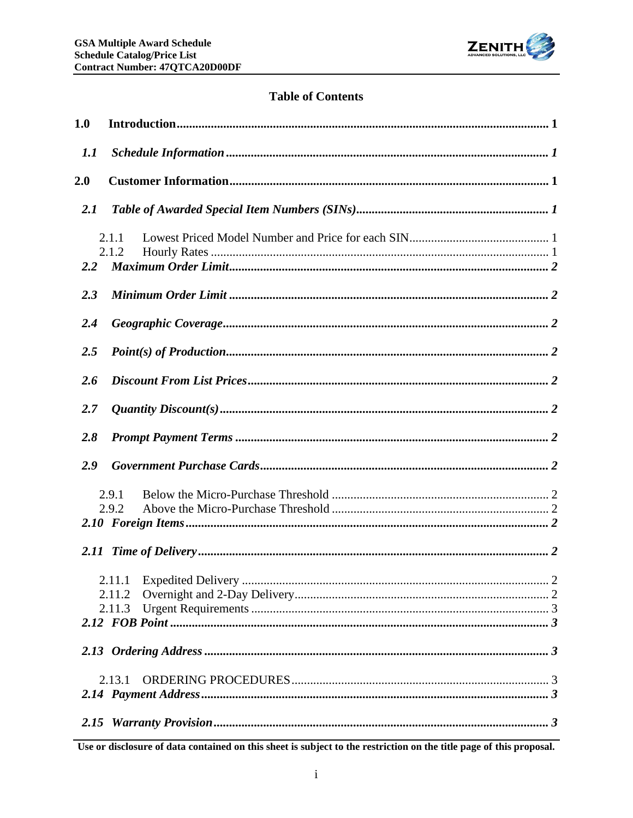

# **Table of Contents**

| 1.0 |                  |  |
|-----|------------------|--|
| 1.1 |                  |  |
| 2.0 |                  |  |
| 2.1 |                  |  |
| 2.2 | 2.1.1<br>2.1.2   |  |
| 2.3 |                  |  |
| 2.4 |                  |  |
| 2.5 |                  |  |
| 2.6 |                  |  |
| 2.7 |                  |  |
| 2.8 |                  |  |
| 2.9 |                  |  |
|     | 2.9.1<br>2.9.2   |  |
|     |                  |  |
|     | 2.11.2<br>2.11.3 |  |
|     |                  |  |
|     | 2.13.1           |  |
|     |                  |  |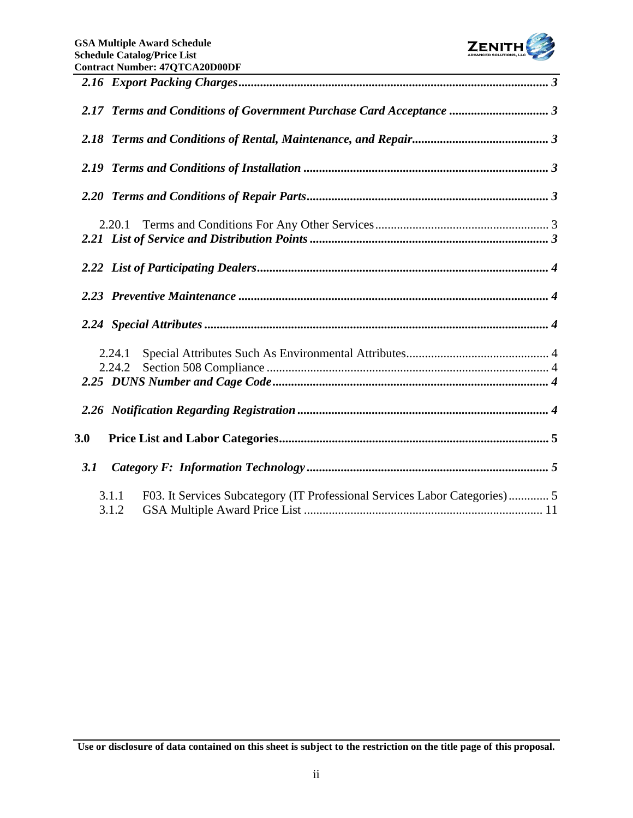

| 2.17 Terms and Conditions of Government Purchase Card Acceptance  3                          |  |
|----------------------------------------------------------------------------------------------|--|
|                                                                                              |  |
|                                                                                              |  |
|                                                                                              |  |
| 2.20.1                                                                                       |  |
|                                                                                              |  |
|                                                                                              |  |
|                                                                                              |  |
| 2.24.1<br>2.24.2                                                                             |  |
|                                                                                              |  |
| 3.0                                                                                          |  |
| 3.1                                                                                          |  |
| F03. It Services Subcategory (IT Professional Services Labor Categories) 5<br>3.1.1<br>3.1.2 |  |

**Use or disclosure of data contained on this sheet is subject to the restriction on the title page of this proposal.**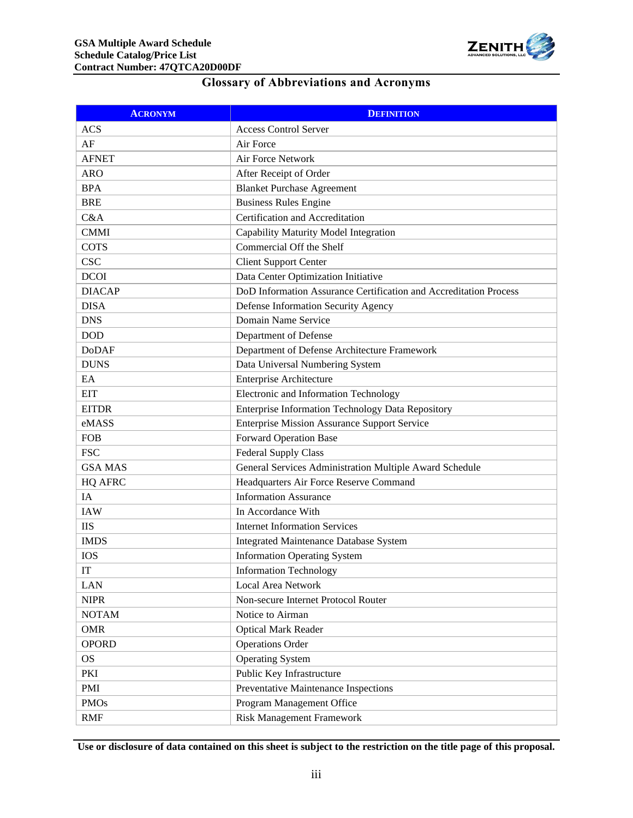

# **Glossary of Abbreviations and Acronyms**

| <b>ACRONYM</b>         | <b>DEFINITION</b>                                                 |
|------------------------|-------------------------------------------------------------------|
| <b>ACS</b>             | <b>Access Control Server</b>                                      |
| AF                     | Air Force                                                         |
| <b>AFNET</b>           | Air Force Network                                                 |
| <b>ARO</b>             | After Receipt of Order                                            |
| <b>BPA</b>             | <b>Blanket Purchase Agreement</b>                                 |
| <b>BRE</b>             | <b>Business Rules Engine</b>                                      |
| C&A                    | Certification and Accreditation                                   |
| <b>CMMI</b>            | Capability Maturity Model Integration                             |
| <b>COTS</b>            | Commercial Off the Shelf                                          |
| <b>CSC</b>             | <b>Client Support Center</b>                                      |
| <b>DCOI</b>            | Data Center Optimization Initiative                               |
| <b>DIACAP</b>          | DoD Information Assurance Certification and Accreditation Process |
| <b>DISA</b>            | Defense Information Security Agency                               |
| <b>DNS</b>             | Domain Name Service                                               |
| <b>DOD</b>             | Department of Defense                                             |
| <b>DoDAF</b>           | Department of Defense Architecture Framework                      |
| <b>DUNS</b>            | Data Universal Numbering System                                   |
| EA                     | <b>Enterprise Architecture</b>                                    |
| <b>EIT</b>             | Electronic and Information Technology                             |
| <b>EITDR</b>           | Enterprise Information Technology Data Repository                 |
| eMASS                  | <b>Enterprise Mission Assurance Support Service</b>               |
| <b>FOB</b>             | <b>Forward Operation Base</b>                                     |
| <b>FSC</b>             | <b>Federal Supply Class</b>                                       |
| <b>GSA MAS</b>         | General Services Administration Multiple Award Schedule           |
| <b>HQ AFRC</b>         | Headquarters Air Force Reserve Command                            |
| IA                     | <b>Information Assurance</b>                                      |
| <b>IAW</b>             | In Accordance With                                                |
| <b>IIS</b>             | <b>Internet Information Services</b>                              |
| <b>IMDS</b>            | <b>Integrated Maintenance Database System</b>                     |
| <b>IOS</b>             | <b>Information Operating System</b>                               |
| $\mathop{\mathrm{IT}}$ | <b>Information Technology</b>                                     |
| LAN                    | <b>Local Area Network</b>                                         |
| <b>NIPR</b>            | Non-secure Internet Protocol Router                               |
| <b>NOTAM</b>           | Notice to Airman                                                  |
| <b>OMR</b>             | <b>Optical Mark Reader</b>                                        |
| <b>OPORD</b>           | <b>Operations Order</b>                                           |
| <b>OS</b>              | <b>Operating System</b>                                           |
| PKI                    | Public Key Infrastructure                                         |
| PMI                    | Preventative Maintenance Inspections                              |
| <b>PMOs</b>            | Program Management Office                                         |
| <b>RMF</b>             | Risk Management Framework                                         |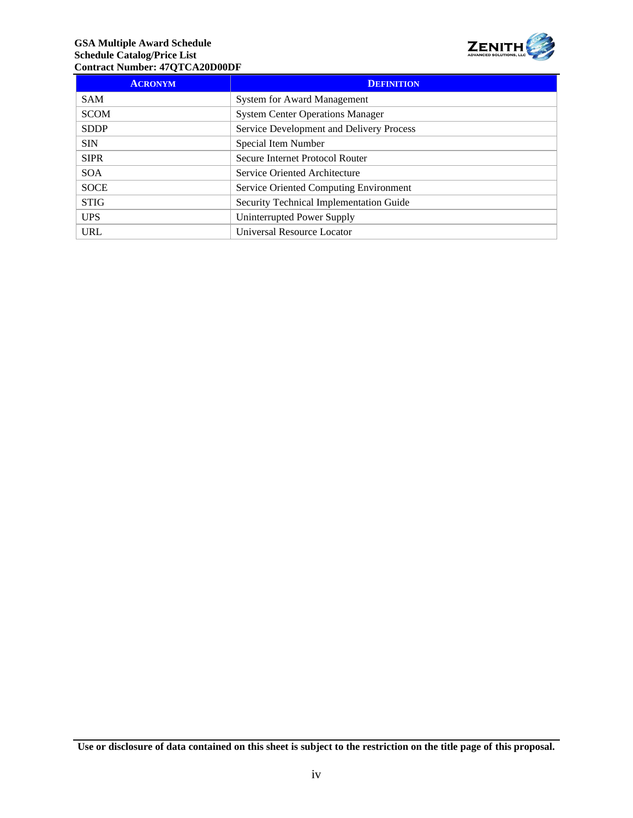#### **GSA Multiple Award Schedule Schedule Catalog/Price List Contract Number: 47QTCA20D00DF**



| <b>ACRONYM</b> | <b>DEFINITION</b>                        |
|----------------|------------------------------------------|
| <b>SAM</b>     | <b>System for Award Management</b>       |
| <b>SCOM</b>    | <b>System Center Operations Manager</b>  |
| <b>SDDP</b>    | Service Development and Delivery Process |
| <b>SIN</b>     | Special Item Number                      |
| <b>SIPR</b>    | Secure Internet Protocol Router          |
| <b>SOA</b>     | Service Oriented Architecture            |
| <b>SOCE</b>    | Service Oriented Computing Environment   |
| <b>STIG</b>    | Security Technical Implementation Guide  |
| <b>UPS</b>     | Uninterrupted Power Supply               |
| <b>URL</b>     | Universal Resource Locator               |

**Use or disclosure of data contained on this sheet is subject to the restriction on the title page of this proposal.**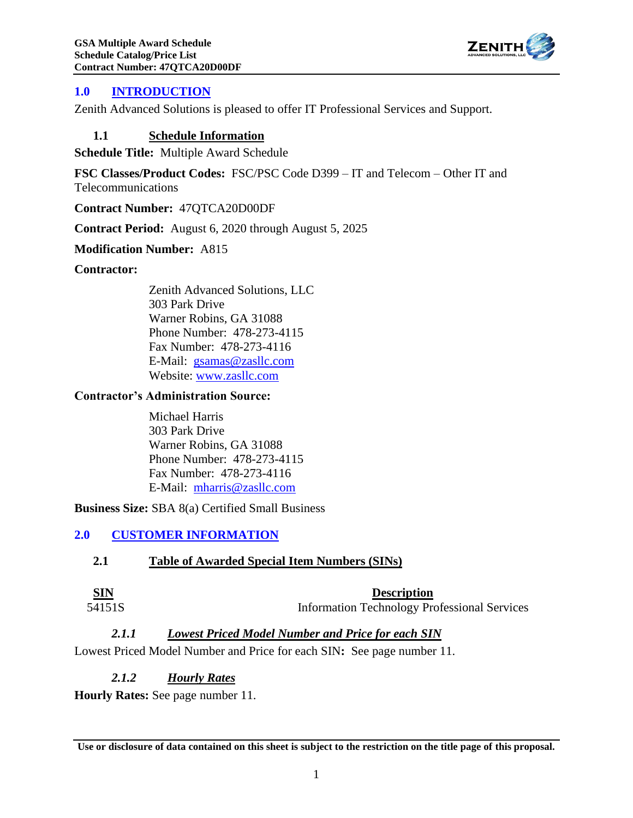

# <span id="page-5-0"></span>**1.0 INTRODUCTION**

<span id="page-5-1"></span>Zenith Advanced Solutions is pleased to offer IT Professional Services and Support.

#### **1.1 Schedule Information**

**Schedule Title:** Multiple Award Schedule

**FSC Classes/Product Codes:** FSC/PSC Code D399 – IT and Telecom – Other IT and Telecommunications

**Contract Number:** 47QTCA20D00DF

**Contract Period:** August 6, 2020 through August 5, 2025

**Modification Number:** A815

#### **Contractor:**

Zenith Advanced Solutions, LLC 303 Park Drive Warner Robins, GA 31088 Phone Number: 478-273-4115 Fax Number: 478-273-4116 E-Mail: [gsamas@zasllc.com](mailto:gsamas@zasllc.com) Website: [www.zasllc.com](http://www.zasllc.com/)

#### **Contractor's Administration Source:**

Michael Harris 303 Park Drive Warner Robins, GA 31088 Phone Number: 478-273-4115 Fax Number: 478-273-4116 E-Mail: [mharris@zasllc.com](mailto:mharris@zasllc.com)

<span id="page-5-2"></span>**Business Size:** SBA 8(a) Certified Small Business

# <span id="page-5-3"></span>**2.0 CUSTOMER INFORMATION**

#### **2.1 Table of Awarded Special Item Numbers (SINs)**

**SIN Description**

<span id="page-5-4"></span>54151S Information Technology Professional Services

#### *2.1.1 Lowest Priced Model Number and Price for each SIN*

<span id="page-5-5"></span>Lowest Priced Model Number and Price for each SIN**:** See page number 11.

#### *2.1.2 Hourly Rates*

**Hourly Rates:** See page number 11.

**Use or disclosure of data contained on this sheet is subject to the restriction on the title page of this proposal.**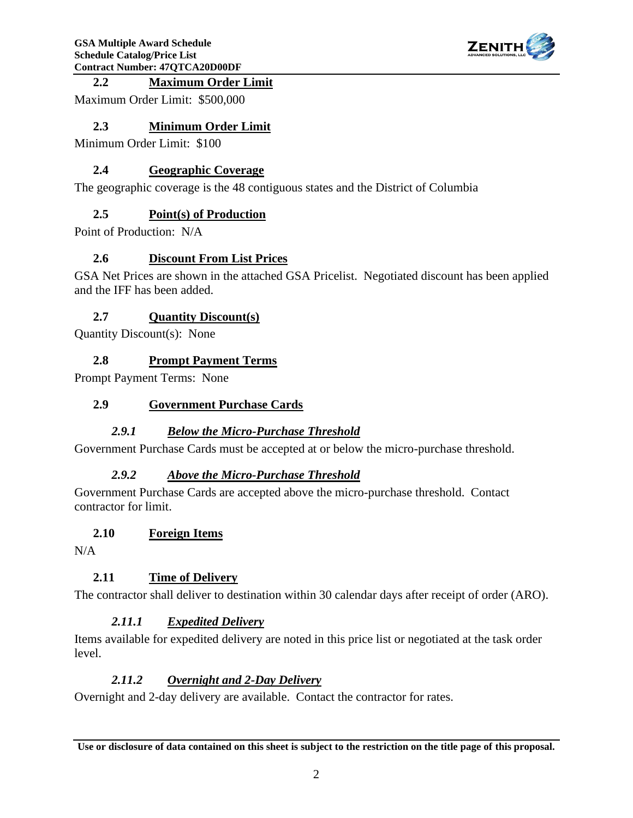

# <span id="page-6-0"></span>**2.2 Maximum Order Limit**

<span id="page-6-1"></span>Maximum Order Limit: \$500,000

## **2.3 Minimum Order Limit**

<span id="page-6-2"></span>Minimum Order Limit: \$100

# **2.4 Geographic Coverage**

<span id="page-6-3"></span>The geographic coverage is the 48 contiguous states and the District of Columbia

# **2.5 Point(s) of Production**

<span id="page-6-4"></span>Point of Production: N/A

# **2.6 Discount From List Prices**

GSA Net Prices are shown in the attached GSA Pricelist. Negotiated discount has been applied and the IFF has been added.

# <span id="page-6-5"></span>**2.7 Quantity Discount(s)**

<span id="page-6-6"></span>Quantity Discount(s): None

# **2.8 Prompt Payment Terms**

<span id="page-6-7"></span>Prompt Payment Terms: None

# **2.9 Government Purchase Cards**

# *2.9.1 Below the Micro-Purchase Threshold*

<span id="page-6-9"></span><span id="page-6-8"></span>Government Purchase Cards must be accepted at or below the micro-purchase threshold.

#### *2.9.2 Above the Micro-Purchase Threshold*

Government Purchase Cards are accepted above the micro-purchase threshold. Contact contractor for limit.

#### <span id="page-6-10"></span>**2.10 Foreign Items**

<span id="page-6-11"></span>N/A

# **2.11 Time of Delivery**

<span id="page-6-12"></span>The contractor shall deliver to destination within 30 calendar days after receipt of order (ARO).

# *2.11.1 Expedited Delivery*

<span id="page-6-13"></span>Items available for expedited delivery are noted in this price list or negotiated at the task order level.

#### *2.11.2 Overnight and 2-Day Delivery*

Overnight and 2-day delivery are available. Contact the contractor for rates.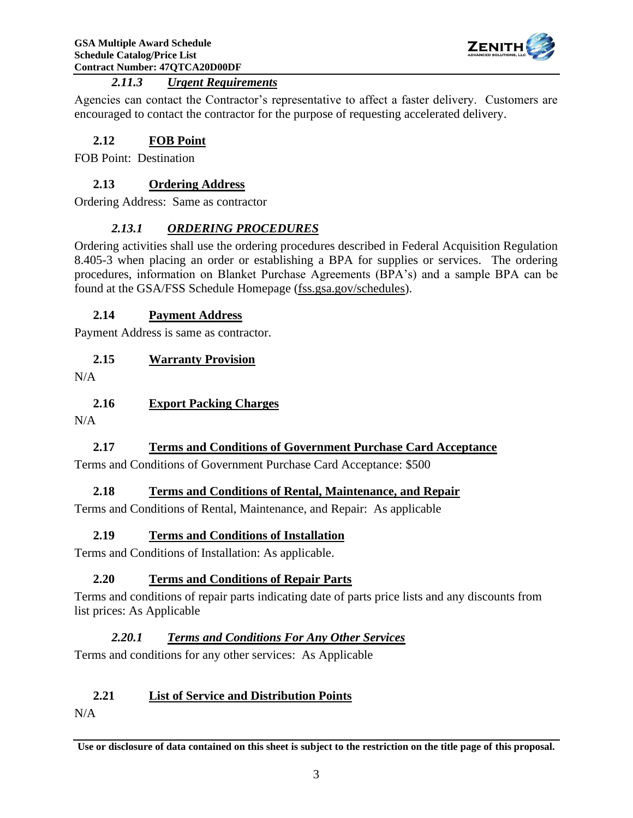

# *2.11.3 Urgent Requirements*

<span id="page-7-0"></span>Agencies can contact the Contractor's representative to affect a faster delivery. Customers are encouraged to contact the contractor for the purpose of requesting accelerated delivery.

# <span id="page-7-1"></span>**2.12 FOB Point**

<span id="page-7-2"></span>FOB Point: Destination

# **2.13 Ordering Address**

<span id="page-7-3"></span>Ordering Address: Same as contractor

# *2.13.1 ORDERING PROCEDURES*

Ordering activities shall use the ordering procedures described in Federal Acquisition Regulation 8.405-3 when placing an order or establishing a BPA for supplies or services. The ordering procedures, information on Blanket Purchase Agreements (BPA's) and a sample BPA can be found at the GSA/FSS Schedule Homepage (fss.gsa.gov/schedules).

# <span id="page-7-4"></span>**2.14 Payment Address**

<span id="page-7-5"></span>Payment Address is same as contractor.

# **2.15 Warranty Provision**

<span id="page-7-6"></span>N/A

# **2.16 Export Packing Charges**

<span id="page-7-7"></span>N/A

# **2.17 Terms and Conditions of Government Purchase Card Acceptance**

<span id="page-7-8"></span>Terms and Conditions of Government Purchase Card Acceptance: \$500

# **2.18 Terms and Conditions of Rental, Maintenance, and Repair**

<span id="page-7-9"></span>Terms and Conditions of Rental, Maintenance, and Repair: As applicable

# **2.19 Terms and Conditions of Installation**

<span id="page-7-10"></span>Terms and Conditions of Installation: As applicable.

# **2.20 Terms and Conditions of Repair Parts**

<span id="page-7-11"></span>Terms and conditions of repair parts indicating date of parts price lists and any discounts from list prices: As Applicable

# *2.20.1 Terms and Conditions For Any Other Services*

Terms and conditions for any other services: As Applicable

# <span id="page-7-12"></span>**2.21 List of Service and Distribution Points**

N/A

**Use or disclosure of data contained on this sheet is subject to the restriction on the title page of this proposal.**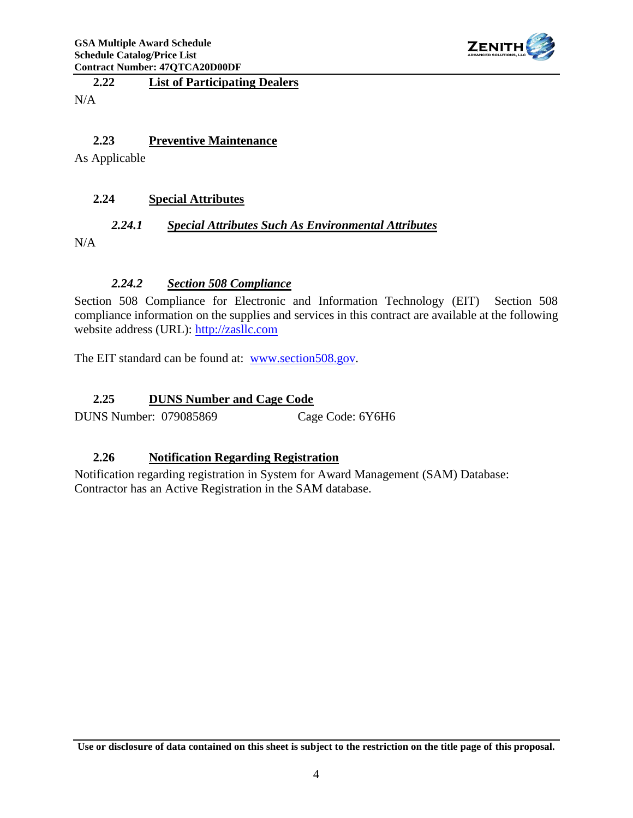

<span id="page-8-0"></span>**2.22 List of Participating Dealers**

N/A

# <span id="page-8-1"></span>**2.23 Preventive Maintenance**

As Applicable

#### <span id="page-8-3"></span><span id="page-8-2"></span>**2.24 Special Attributes**

#### *2.24.1 Special Attributes Such As Environmental Attributes*

<span id="page-8-4"></span>N/A

#### *2.24.2 Section 508 Compliance*

Section 508 Compliance for Electronic and Information Technology (EIT) Section 508 compliance information on the supplies and services in this contract are available at the following website address (URL): [http://zasllc.com](http://zasllc.com/)

The EIT standard can be found at: [www.section508.gov.](http://www.section508.gov/)

#### <span id="page-8-5"></span>**2.25 DUNS Number and Cage Code**

DUNS Number: 079085869 Cage Code: 6Y6H6

#### <span id="page-8-6"></span>**2.26 Notification Regarding Registration**

Notification regarding registration in System for Award Management (SAM) Database: Contractor has an Active Registration in the SAM database.

**Use or disclosure of data contained on this sheet is subject to the restriction on the title page of this proposal.**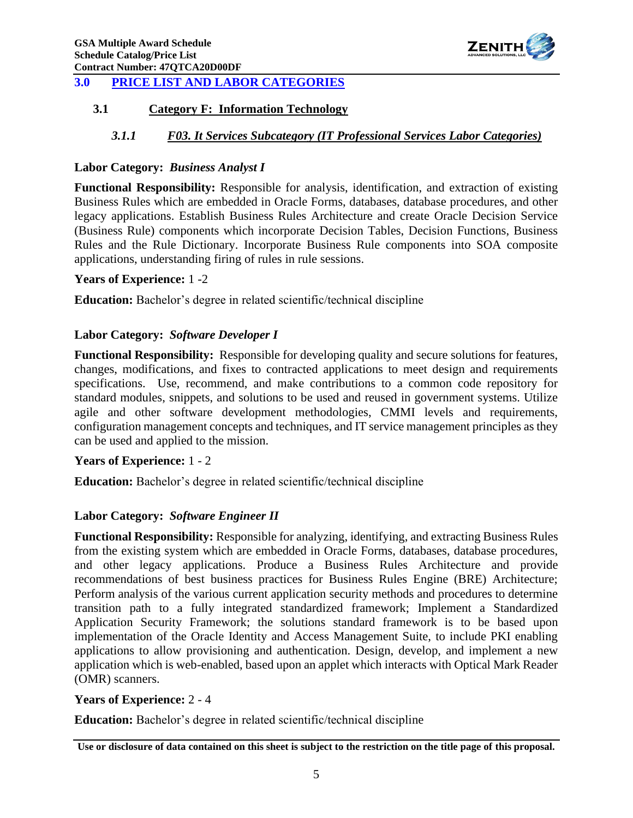

# <span id="page-9-1"></span><span id="page-9-0"></span>**3.0 PRICE LIST AND LABOR CATEGORIES**

### <span id="page-9-2"></span>**3.1 Category F: Information Technology**

# *3.1.1 F03. It Services Subcategory (IT Professional Services Labor Categories)*

#### **Labor Category:** *Business Analyst I*

**Functional Responsibility:** Responsible for analysis, identification, and extraction of existing Business Rules which are embedded in Oracle Forms, databases, database procedures, and other legacy applications. Establish Business Rules Architecture and create Oracle Decision Service (Business Rule) components which incorporate Decision Tables, Decision Functions, Business Rules and the Rule Dictionary. Incorporate Business Rule components into SOA composite applications, understanding firing of rules in rule sessions.

#### **Years of Experience:** 1 -2

**Education:** Bachelor's degree in related scientific/technical discipline

#### **Labor Category:** *Software Developer I*

**Functional Responsibility:** Responsible for developing quality and secure solutions for features, changes, modifications, and fixes to contracted applications to meet design and requirements specifications. Use, recommend, and make contributions to a common code repository for standard modules, snippets, and solutions to be used and reused in government systems. Utilize agile and other software development methodologies, CMMI levels and requirements, configuration management concepts and techniques, and IT service management principles as they can be used and applied to the mission.

#### **Years of Experience:** 1 - 2

**Education:** Bachelor's degree in related scientific/technical discipline

#### **Labor Category:** *Software Engineer II*

**Functional Responsibility:** Responsible for analyzing, identifying, and extracting Business Rules from the existing system which are embedded in Oracle Forms, databases, database procedures, and other legacy applications. Produce a Business Rules Architecture and provide recommendations of best business practices for Business Rules Engine (BRE) Architecture; Perform analysis of the various current application security methods and procedures to determine transition path to a fully integrated standardized framework; Implement a Standardized Application Security Framework; the solutions standard framework is to be based upon implementation of the Oracle Identity and Access Management Suite, to include PKI enabling applications to allow provisioning and authentication. Design, develop, and implement a new application which is web-enabled, based upon an applet which interacts with Optical Mark Reader (OMR) scanners.

#### **Years of Experience:** 2 - 4

**Education:** Bachelor's degree in related scientific/technical discipline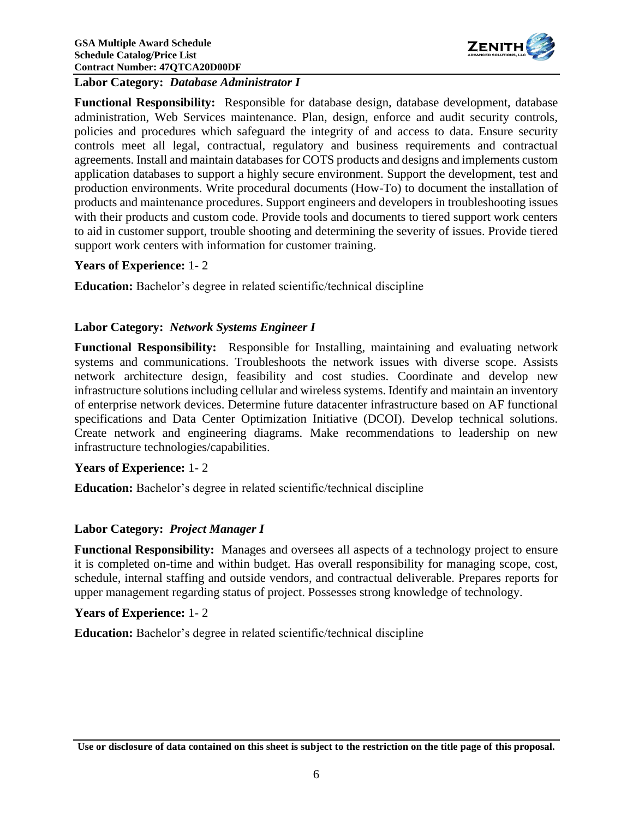

**Labor Category:** *Database Administrator I*

**Functional Responsibility:** Responsible for database design, database development, database administration, Web Services maintenance. Plan, design, enforce and audit security controls, policies and procedures which safeguard the integrity of and access to data. Ensure security controls meet all legal, contractual, regulatory and business requirements and contractual agreements. Install and maintain databases for COTS products and designs and implements custom application databases to support a highly secure environment. Support the development, test and production environments. Write procedural documents (How-To) to document the installation of products and maintenance procedures. Support engineers and developers in troubleshooting issues with their products and custom code. Provide tools and documents to tiered support work centers to aid in customer support, trouble shooting and determining the severity of issues. Provide tiered support work centers with information for customer training.

#### **Years of Experience:** 1- 2

**Education:** Bachelor's degree in related scientific/technical discipline

#### **Labor Category:** *Network Systems Engineer I*

**Functional Responsibility:** Responsible for Installing, maintaining and evaluating network systems and communications. Troubleshoots the network issues with diverse scope. Assists network architecture design, feasibility and cost studies. Coordinate and develop new infrastructure solutions including cellular and wireless systems. Identify and maintain an inventory of enterprise network devices. Determine future datacenter infrastructure based on AF functional specifications and Data Center Optimization Initiative (DCOI). Develop technical solutions. Create network and engineering diagrams. Make recommendations to leadership on new infrastructure technologies/capabilities.

#### **Years of Experience:** 1- 2

**Education:** Bachelor's degree in related scientific/technical discipline

#### **Labor Category:** *Project Manager I*

**Functional Responsibility:** Manages and oversees all aspects of a technology project to ensure it is completed on-time and within budget. Has overall responsibility for managing scope, cost, schedule, internal staffing and outside vendors, and contractual deliverable. Prepares reports for upper management regarding status of project. Possesses strong knowledge of technology.

#### **Years of Experience:** 1- 2

**Education:** Bachelor's degree in related scientific/technical discipline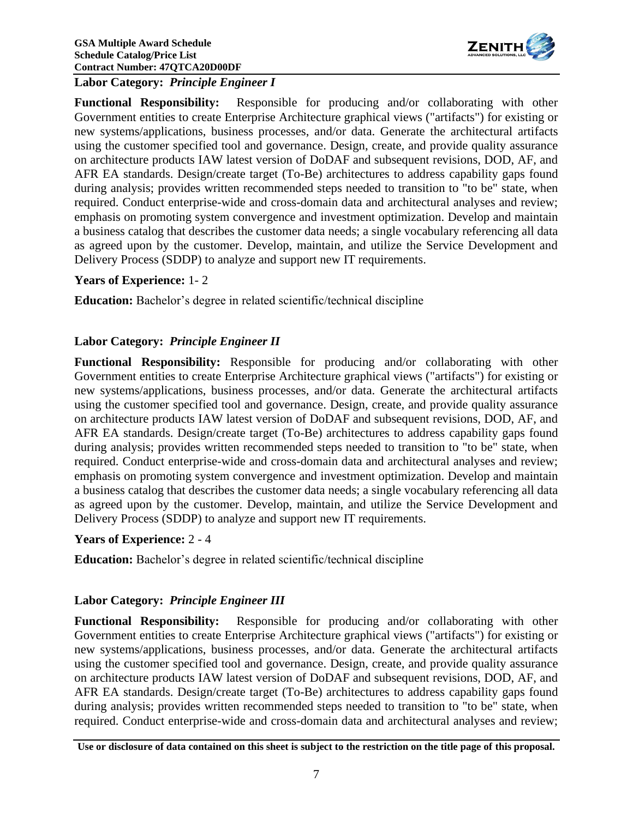

#### **Labor Category:** *Principle Engineer I*

**Functional Responsibility:** Responsible for producing and/or collaborating with other Government entities to create Enterprise Architecture graphical views ("artifacts") for existing or new systems/applications, business processes, and/or data. Generate the architectural artifacts using the customer specified tool and governance. Design, create, and provide quality assurance on architecture products IAW latest version of DoDAF and subsequent revisions, DOD, AF, and AFR EA standards. Design/create target (To-Be) architectures to address capability gaps found during analysis; provides written recommended steps needed to transition to "to be" state, when required. Conduct enterprise-wide and cross-domain data and architectural analyses and review; emphasis on promoting system convergence and investment optimization. Develop and maintain a business catalog that describes the customer data needs; a single vocabulary referencing all data as agreed upon by the customer. Develop, maintain, and utilize the Service Development and Delivery Process (SDDP) to analyze and support new IT requirements.

#### **Years of Experience:** 1- 2

**Education:** Bachelor's degree in related scientific/technical discipline

#### **Labor Category:** *Principle Engineer II*

**Functional Responsibility:** Responsible for producing and/or collaborating with other Government entities to create Enterprise Architecture graphical views ("artifacts") for existing or new systems/applications, business processes, and/or data. Generate the architectural artifacts using the customer specified tool and governance. Design, create, and provide quality assurance on architecture products IAW latest version of DoDAF and subsequent revisions, DOD, AF, and AFR EA standards. Design/create target (To-Be) architectures to address capability gaps found during analysis; provides written recommended steps needed to transition to "to be" state, when required. Conduct enterprise-wide and cross-domain data and architectural analyses and review; emphasis on promoting system convergence and investment optimization. Develop and maintain a business catalog that describes the customer data needs; a single vocabulary referencing all data as agreed upon by the customer. Develop, maintain, and utilize the Service Development and Delivery Process (SDDP) to analyze and support new IT requirements.

#### **Years of Experience:** 2 - 4

**Education:** Bachelor's degree in related scientific/technical discipline

#### **Labor Category:** *Principle Engineer III*

**Functional Responsibility:** Responsible for producing and/or collaborating with other Government entities to create Enterprise Architecture graphical views ("artifacts") for existing or new systems/applications, business processes, and/or data. Generate the architectural artifacts using the customer specified tool and governance. Design, create, and provide quality assurance on architecture products IAW latest version of DoDAF and subsequent revisions, DOD, AF, and AFR EA standards. Design/create target (To-Be) architectures to address capability gaps found during analysis; provides written recommended steps needed to transition to "to be" state, when required. Conduct enterprise-wide and cross-domain data and architectural analyses and review;

**Use or disclosure of data contained on this sheet is subject to the restriction on the title page of this proposal.**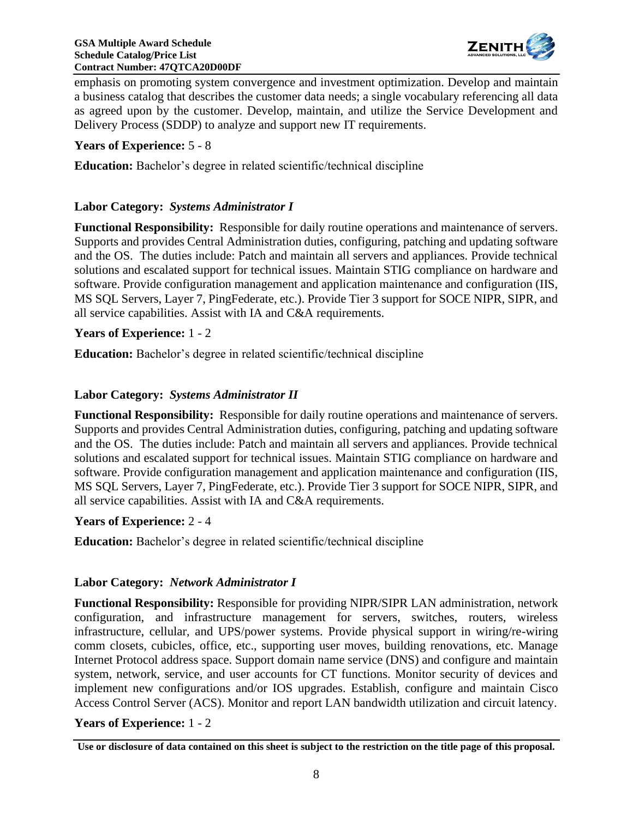

emphasis on promoting system convergence and investment optimization. Develop and maintain a business catalog that describes the customer data needs; a single vocabulary referencing all data as agreed upon by the customer. Develop, maintain, and utilize the Service Development and Delivery Process (SDDP) to analyze and support new IT requirements.

#### **Years of Experience:** 5 - 8

**Education:** Bachelor's degree in related scientific/technical discipline

#### **Labor Category:** *Systems Administrator I*

**Functional Responsibility:** Responsible for daily routine operations and maintenance of servers. Supports and provides Central Administration duties, configuring, patching and updating software and the OS. The duties include: Patch and maintain all servers and appliances. Provide technical solutions and escalated support for technical issues. Maintain STIG compliance on hardware and software. Provide configuration management and application maintenance and configuration (IIS, MS SQL Servers, Layer 7, PingFederate, etc.). Provide Tier 3 support for SOCE NIPR, SIPR, and all service capabilities. Assist with IA and C&A requirements.

#### **Years of Experience:** 1 - 2

**Education:** Bachelor's degree in related scientific/technical discipline

#### **Labor Category:** *Systems Administrator II*

**Functional Responsibility:** Responsible for daily routine operations and maintenance of servers. Supports and provides Central Administration duties, configuring, patching and updating software and the OS. The duties include: Patch and maintain all servers and appliances. Provide technical solutions and escalated support for technical issues. Maintain STIG compliance on hardware and software. Provide configuration management and application maintenance and configuration (IIS, MS SQL Servers, Layer 7, PingFederate, etc.). Provide Tier 3 support for SOCE NIPR, SIPR, and all service capabilities. Assist with IA and C&A requirements.

#### **Years of Experience:** 2 - 4

**Education:** Bachelor's degree in related scientific/technical discipline

#### **Labor Category:** *Network Administrator I*

**Functional Responsibility:** Responsible for providing NIPR/SIPR LAN administration, network configuration, and infrastructure management for servers, switches, routers, wireless infrastructure, cellular, and UPS/power systems. Provide physical support in wiring/re-wiring comm closets, cubicles, office, etc., supporting user moves, building renovations, etc. Manage Internet Protocol address space. Support domain name service (DNS) and configure and maintain system, network, service, and user accounts for CT functions. Monitor security of devices and implement new configurations and/or IOS upgrades. Establish, configure and maintain Cisco Access Control Server (ACS). Monitor and report LAN bandwidth utilization and circuit latency.

#### **Years of Experience:** 1 - 2

**Use or disclosure of data contained on this sheet is subject to the restriction on the title page of this proposal.**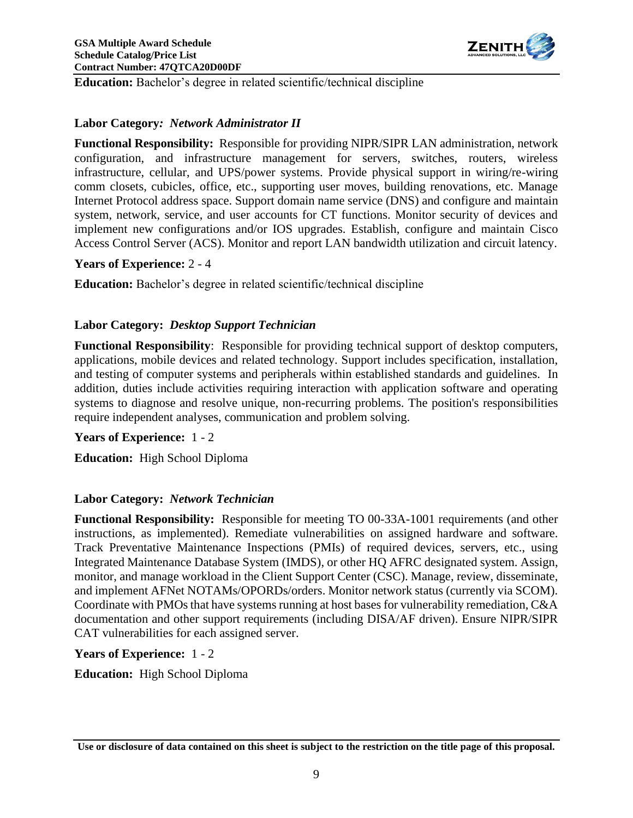

**Education:** Bachelor's degree in related scientific/technical discipline

#### **Labor Category***: Network Administrator II*

**Functional Responsibility:** Responsible for providing NIPR/SIPR LAN administration, network configuration, and infrastructure management for servers, switches, routers, wireless infrastructure, cellular, and UPS/power systems. Provide physical support in wiring/re-wiring comm closets, cubicles, office, etc., supporting user moves, building renovations, etc. Manage Internet Protocol address space. Support domain name service (DNS) and configure and maintain system, network, service, and user accounts for CT functions. Monitor security of devices and implement new configurations and/or IOS upgrades. Establish, configure and maintain Cisco Access Control Server (ACS). Monitor and report LAN bandwidth utilization and circuit latency.

#### **Years of Experience:** 2 - 4

**Education:** Bachelor's degree in related scientific/technical discipline

#### **Labor Category:** *Desktop Support Technician*

**Functional Responsibility**: Responsible for providing technical support of desktop computers, applications, mobile devices and related technology. Support includes specification, installation, and testing of computer systems and peripherals within established standards and guidelines. In addition, duties include activities requiring interaction with application software and operating systems to diagnose and resolve unique, non-recurring problems. The position's responsibilities require independent analyses, communication and problem solving.

#### **Years of Experience:** 1 - 2

**Education:** High School Diploma

#### **Labor Category:** *Network Technician*

**Functional Responsibility:** Responsible for meeting TO 00-33A-1001 requirements (and other instructions, as implemented). Remediate vulnerabilities on assigned hardware and software. Track Preventative Maintenance Inspections (PMIs) of required devices, servers, etc., using Integrated Maintenance Database System (IMDS), or other HQ AFRC designated system. Assign, monitor, and manage workload in the Client Support Center (CSC). Manage, review, disseminate, and implement AFNet NOTAMs/OPORDs/orders. Monitor network status (currently via SCOM). Coordinate with PMOs that have systems running at host bases for vulnerability remediation, C&A documentation and other support requirements (including DISA/AF driven). Ensure NIPR/SIPR CAT vulnerabilities for each assigned server.

**Years of Experience:** 1 - 2

**Education:** High School Diploma

**Use or disclosure of data contained on this sheet is subject to the restriction on the title page of this proposal.**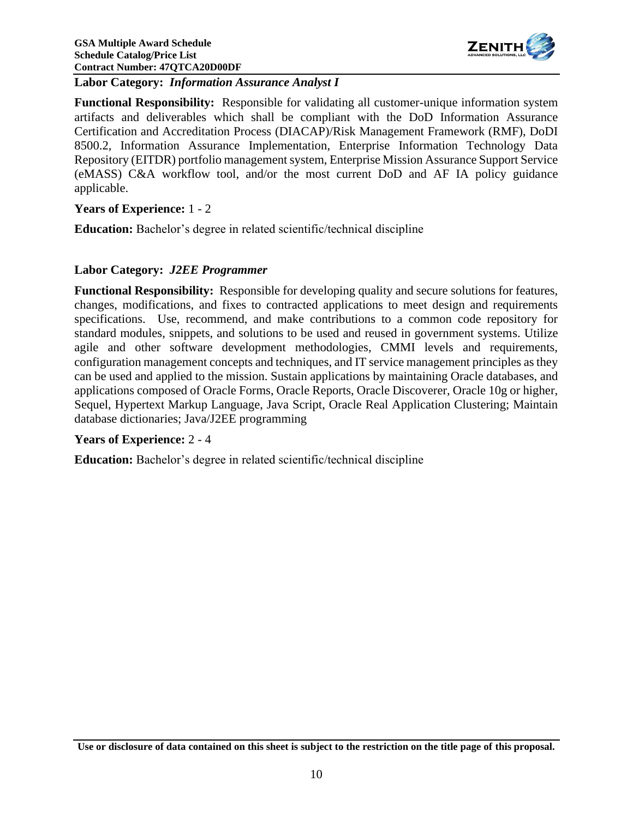

**Labor Category:** *Information Assurance Analyst I*

**Functional Responsibility:** Responsible for validating all customer-unique information system artifacts and deliverables which shall be compliant with the DoD Information Assurance Certification and Accreditation Process (DIACAP)/Risk Management Framework (RMF), DoDI 8500.2, Information Assurance Implementation, Enterprise Information Technology Data Repository (EITDR) portfolio management system, Enterprise Mission Assurance Support Service (eMASS) C&A workflow tool, and/or the most current DoD and AF IA policy guidance applicable.

#### **Years of Experience:** 1 - 2

**Education:** Bachelor's degree in related scientific/technical discipline

#### **Labor Category:** *J2EE Programmer*

**Functional Responsibility:** Responsible for developing quality and secure solutions for features, changes, modifications, and fixes to contracted applications to meet design and requirements specifications. Use, recommend, and make contributions to a common code repository for standard modules, snippets, and solutions to be used and reused in government systems. Utilize agile and other software development methodologies, CMMI levels and requirements, configuration management concepts and techniques, and IT service management principles as they can be used and applied to the mission. Sustain applications by maintaining Oracle databases, and applications composed of Oracle Forms, Oracle Reports, Oracle Discoverer, Oracle 10g or higher, Sequel, Hypertext Markup Language, Java Script, Oracle Real Application Clustering; Maintain database dictionaries; Java/J2EE programming

#### **Years of Experience:** 2 - 4

**Education:** Bachelor's degree in related scientific/technical discipline

**Use or disclosure of data contained on this sheet is subject to the restriction on the title page of this proposal.**